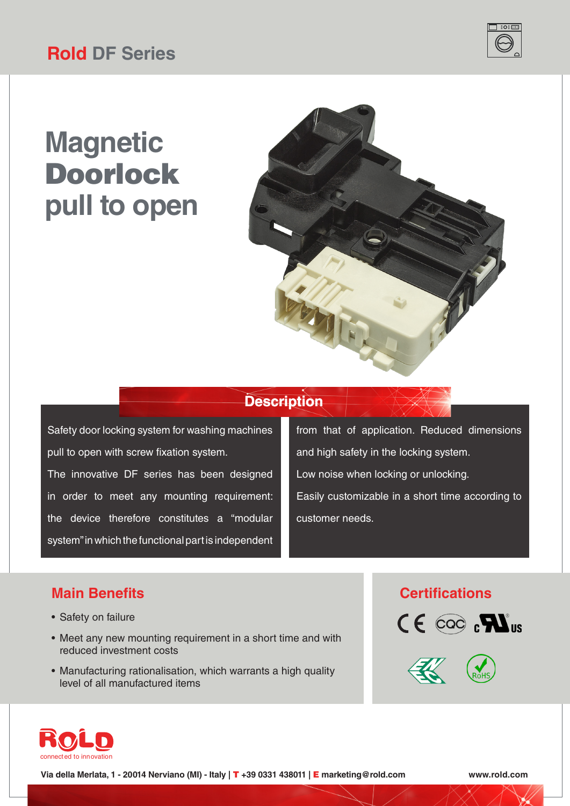# **Magnetic** Doorlock **pull to open**



### **Description**

Safety door locking system for washing machines pull to open with screw fixation system. The innovative DF series has been designed in order to meet any mounting requirement: the device therefore constitutes a "modular system" in which the functional part is independent

from that of application. Reduced dimensions and high safety in the locking system. Low noise when locking or unlocking. Easily customizable in a short time according to customer needs.

- Safety on failure
- Meet any new mounting requirement in a short time and with reduced investment costs
- Manufacturing rationalisation, which warrants a high quality level of all manufactured items

### **Main Benefits Certifications**